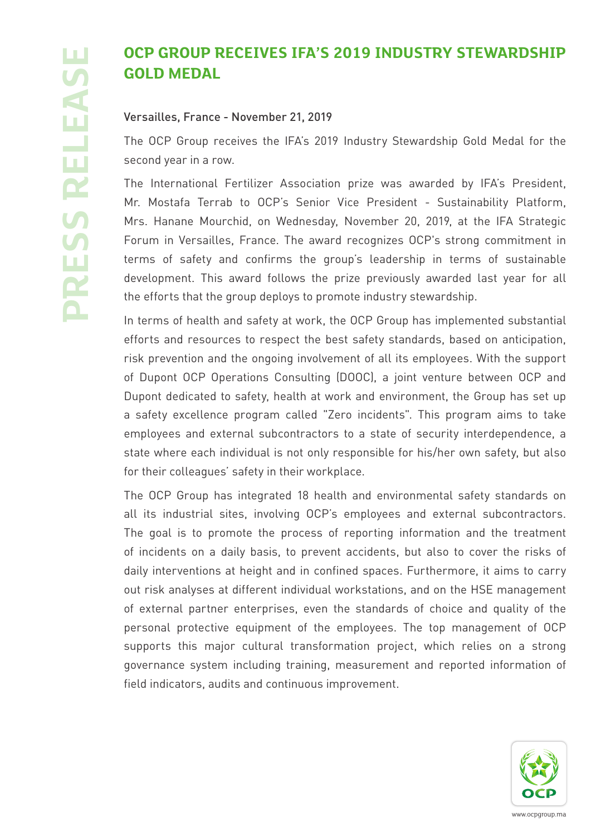# **OCP GROUP RECEIVES IFA'S 2019 INDUSTRY STEWARDSHIP GOLD MEDAL**

#### Versailles, France - November 21, 2019

The OCP Group receives the IFA's 2019 Industry Stewardship Gold Medal for the second year in a row.

The International Fertilizer Association prize was awarded by IFA's President, Mr. Mostafa Terrab to OCP's Senior Vice President - Sustainability Platform, Mrs. Hanane Mourchid, on Wednesday, November 20, 2019, at the IFA Strategic Forum in Versailles, France. The award recognizes OCP's strong commitment in terms of safety and confirms the group's leadership in terms of sustainable development. This award follows the prize previously awarded last year for all the efforts that the group deploys to promote industry stewardship.

In terms of health and safety at work, the OCP Group has implemented substantial efforts and resources to respect the best safety standards, based on anticipation, risk prevention and the ongoing involvement of all its employees. With the support of Dupont OCP Operations Consulting (DOOC), a joint venture between OCP and Dupont dedicated to safety, health at work and environment, the Group has set up a safety excellence program called "Zero incidents". This program aims to take employees and external subcontractors to a state of security interdependence, a state where each individual is not only responsible for his/her own safety, but also for their colleagues' safety in their workplace.

The OCP Group has integrated 18 health and environmental safety standards on all its industrial sites, involving OCP's employees and external subcontractors. The goal is to promote the process of reporting information and the treatment of incidents on a daily basis, to prevent accidents, but also to cover the risks of daily interventions at height and in confined spaces. Furthermore, it aims to carry out risk analyses at different individual workstations, and on the HSE management of external partner enterprises, even the standards of choice and quality of the personal protective equipment of the employees. The top management of OCP supports this major cultural transformation project, which relies on a strong governance system including training, measurement and reported information of field indicators, audits and continuous improvement.